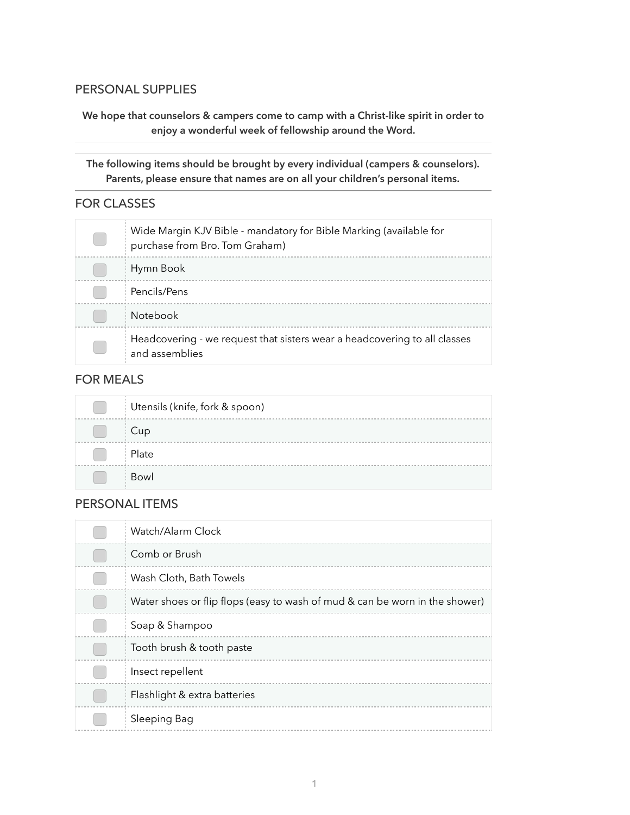#### PERSONAL SUPPLIES

**We hope that counselors & campers come to camp with a Christ-like spirit in order to enjoy a wonderful week of fellowship around the Word.**

**The following items should be brought by every individual (campers & counselors). Parents, please ensure that names are on all your children's personal items.**

## FOR CLASSES

| Wide Margin KJV Bible - mandatory for Bible Marking (available for<br>purchase from Bro. Tom Graham) |
|------------------------------------------------------------------------------------------------------|
| Hymn Book                                                                                            |
| Pencils/Pens                                                                                         |
| <b>Notebook</b>                                                                                      |
| Headcovering - we request that sisters wear a headcovering to all classes<br>and assemblies          |

## FOR MEALS

| Utensils (knife, fork & spoon) |
|--------------------------------|
| Cup                            |
| Plate                          |
| Bowl                           |

#### PERSONAL ITEMS

| Watch/Alarm Clock                                                           |
|-----------------------------------------------------------------------------|
| Comb or Brush                                                               |
| Wash Cloth, Bath Towels                                                     |
| Water shoes or flip flops (easy to wash of mud & can be worn in the shower) |
| Soap & Shampoo                                                              |
| Tooth brush & tooth paste                                                   |
| Insect repellent                                                            |
| Flashlight & extra batteries                                                |
| Sleeping Bag                                                                |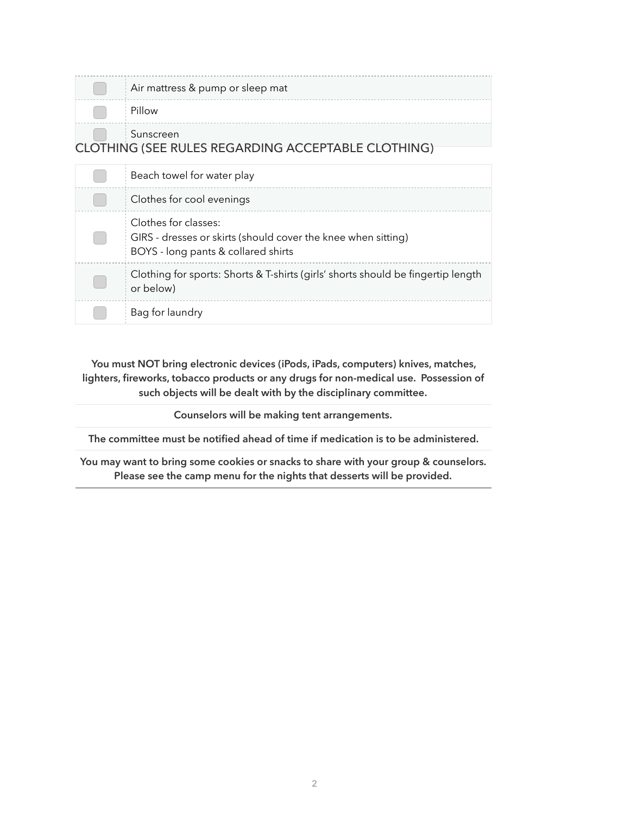| Air mattress & pump or sleep mat                                                                                             |
|------------------------------------------------------------------------------------------------------------------------------|
| Pillow                                                                                                                       |
| Sunscreen<br>CLOTHING (SEE RULES REGARDING ACCEPTABLE CLOTHING)                                                              |
| Beach towel for water play                                                                                                   |
| Clothes for cool evenings                                                                                                    |
| Clothes for classes:<br>GIRS - dresses or skirts (should cover the knee when sitting)<br>BOYS - long pants & collared shirts |
| Clothing for sports: Shorts & T-shirts (girls' shorts should be fingertip length<br>or below)                                |
| Bag for laundry                                                                                                              |

**You must NOT bring electronic devices (iPods, iPads, computers) knives, matches, lighters, fireworks, tobacco products or any drugs for non-medical use. Possession of such objects will be dealt with by the disciplinary committee.**

**Counselors will be making tent arrangements.**

**The committee must be notified ahead of time if medication is to be administered.**

**You may want to bring some cookies or snacks to share with your group & counselors. Please see the camp menu for the nights that desserts will be provided.**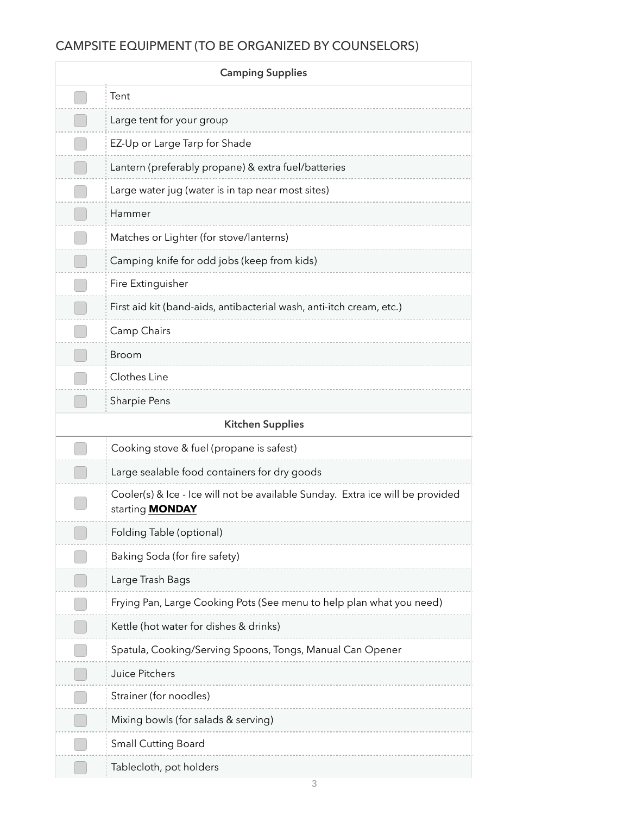# CAMPSITE EQUIPMENT (TO BE ORGANIZED BY COUNSELORS)

| <b>Camping Supplies</b> |                                                                                                          |  |
|-------------------------|----------------------------------------------------------------------------------------------------------|--|
|                         | Tent                                                                                                     |  |
|                         | Large tent for your group                                                                                |  |
|                         | EZ-Up or Large Tarp for Shade                                                                            |  |
|                         | Lantern (preferably propane) & extra fuel/batteries                                                      |  |
|                         | Large water jug (water is in tap near most sites)                                                        |  |
|                         | Hammer                                                                                                   |  |
|                         | Matches or Lighter (for stove/lanterns)                                                                  |  |
|                         | Camping knife for odd jobs (keep from kids)                                                              |  |
|                         | Fire Extinguisher                                                                                        |  |
|                         | First aid kit (band-aids, antibacterial wash, anti-itch cream, etc.)                                     |  |
|                         | Camp Chairs                                                                                              |  |
|                         | <b>Broom</b>                                                                                             |  |
|                         | Clothes Line                                                                                             |  |
|                         | Sharpie Pens                                                                                             |  |
|                         | <b>Kitchen Supplies</b>                                                                                  |  |
|                         | Cooking stove & fuel (propane is safest)                                                                 |  |
|                         | Large sealable food containers for dry goods                                                             |  |
|                         | Cooler(s) & Ice - Ice will not be available Sunday. Extra ice will be provided<br>starting <b>MONDAY</b> |  |
|                         | Folding Table (optional)                                                                                 |  |
|                         | Baking Soda (for fire safety)                                                                            |  |
|                         | Large Trash Bags                                                                                         |  |
|                         | Frying Pan, Large Cooking Pots (See menu to help plan what you need)                                     |  |
|                         | Kettle (hot water for dishes & drinks)                                                                   |  |
|                         | Spatula, Cooking/Serving Spoons, Tongs, Manual Can Opener                                                |  |
|                         | Juice Pitchers                                                                                           |  |
|                         | Strainer (for noodles)                                                                                   |  |
|                         | Mixing bowls (for salads & serving)                                                                      |  |
|                         | <b>Small Cutting Board</b>                                                                               |  |
|                         | Tablecloth, pot holders                                                                                  |  |